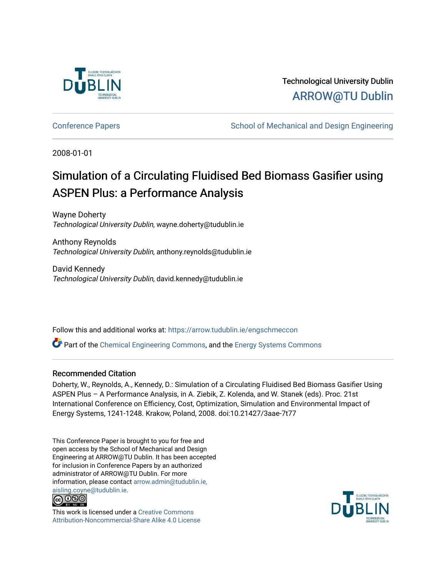

Technological University Dublin [ARROW@TU Dublin](https://arrow.tudublin.ie/) 

[Conference Papers](https://arrow.tudublin.ie/engschmeccon) **School of Mechanical and Design Engineering** 

2008-01-01

# Simulation of a Circulating Fluidised Bed Biomass Gasifier using ASPEN Plus: a Performance Analysis

Wayne Doherty Technological University Dublin, wayne.doherty@tudublin.ie

Anthony Reynolds Technological University Dublin, anthony.reynolds@tudublin.ie

David Kennedy Technological University Dublin, david.kennedy@tudublin.ie

Follow this and additional works at: [https://arrow.tudublin.ie/engschmeccon](https://arrow.tudublin.ie/engschmeccon?utm_source=arrow.tudublin.ie%2Fengschmeccon%2F11&utm_medium=PDF&utm_campaign=PDFCoverPages) 

Part of the [Chemical Engineering Commons](http://network.bepress.com/hgg/discipline/240?utm_source=arrow.tudublin.ie%2Fengschmeccon%2F11&utm_medium=PDF&utm_campaign=PDFCoverPages), and the [Energy Systems Commons](http://network.bepress.com/hgg/discipline/299?utm_source=arrow.tudublin.ie%2Fengschmeccon%2F11&utm_medium=PDF&utm_campaign=PDFCoverPages) 

#### Recommended Citation

Doherty, W., Reynolds, A., Kennedy, D.: Simulation of a Circulating Fluidised Bed Biomass Gasifier Using ASPEN Plus – A Performance Analysis, in A. Ziebik, Z. Kolenda, and W. Stanek (eds). Proc. 21st International Conference on Efficiency, Cost, Optimization, Simulation and Environmental Impact of Energy Systems, 1241-1248. Krakow, Poland, 2008. doi:10.21427/3aae-7t77

This Conference Paper is brought to you for free and open access by the School of Mechanical and Design Engineering at ARROW@TU Dublin. It has been accepted for inclusion in Conference Papers by an authorized administrator of ARROW@TU Dublin. For more information, please contact [arrow.admin@tudublin.ie,](mailto:arrow.admin@tudublin.ie,%20aisling.coyne@tudublin.ie)  [aisling.coyne@tudublin.ie.](mailto:arrow.admin@tudublin.ie,%20aisling.coyne@tudublin.ie)



This work is licensed under a [Creative Commons](http://creativecommons.org/licenses/by-nc-sa/4.0/) [Attribution-Noncommercial-Share Alike 4.0 License](http://creativecommons.org/licenses/by-nc-sa/4.0/)

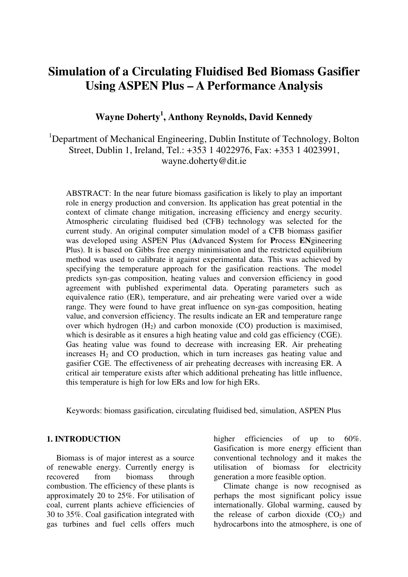## **Simulation of a Circulating Fluidised Bed Biomass Gasifier Using ASPEN Plus – A Performance Analysis**

## **Wayne Doherty<sup>1</sup> , Anthony Reynolds, David Kennedy**

### <sup>1</sup>Department of Mechanical Engineering, Dublin Institute of Technology, Bolton Street, Dublin 1, Ireland, Tel.: +353 1 4022976, Fax: +353 1 4023991, wayne.doherty@dit.ie

ABSTRACT: In the near future biomass gasification is likely to play an important role in energy production and conversion. Its application has great potential in the context of climate change mitigation, increasing efficiency and energy security. Atmospheric circulating fluidised bed (CFB) technology was selected for the current study. An original computer simulation model of a CFB biomass gasifier was developed using ASPEN Plus (**A**dvanced **S**ystem for **P**rocess **EN**gineering Plus). It is based on Gibbs free energy minimisation and the restricted equilibrium method was used to calibrate it against experimental data. This was achieved by specifying the temperature approach for the gasification reactions. The model predicts syn-gas composition, heating values and conversion efficiency in good agreement with published experimental data. Operating parameters such as equivalence ratio (ER), temperature, and air preheating were varied over a wide range. They were found to have great influence on syn-gas composition, heating value, and conversion efficiency. The results indicate an ER and temperature range over which hydrogen  $(H_2)$  and carbon monoxide  $(CO)$  production is maximised, which is desirable as it ensures a high heating value and cold gas efficiency (CGE). Gas heating value was found to decrease with increasing ER. Air preheating increases  $H_2$  and CO production, which in turn increases gas heating value and gasifier CGE. The effectiveness of air preheating decreases with increasing ER. A critical air temperature exists after which additional preheating has little influence, this temperature is high for low ERs and low for high ERs.

Keywords: biomass gasification, circulating fluidised bed, simulation, ASPEN Plus

#### **1. INTRODUCTION**

Biomass is of major interest as a source of renewable energy. Currently energy is recovered from biomass through combustion. The efficiency of these plants is approximately 20 to 25%. For utilisation of coal, current plants achieve efficiencies of 30 to 35%. Coal gasification integrated with gas turbines and fuel cells offers much higher efficiencies of up to 60%. Gasification is more energy efficient than conventional technology and it makes the utilisation of biomass for electricity generation a more feasible option.

 Climate change is now recognised as perhaps the most significant policy issue internationally. Global warming, caused by the release of carbon dioxide  $(CO<sub>2</sub>)$  and hydrocarbons into the atmosphere, is one of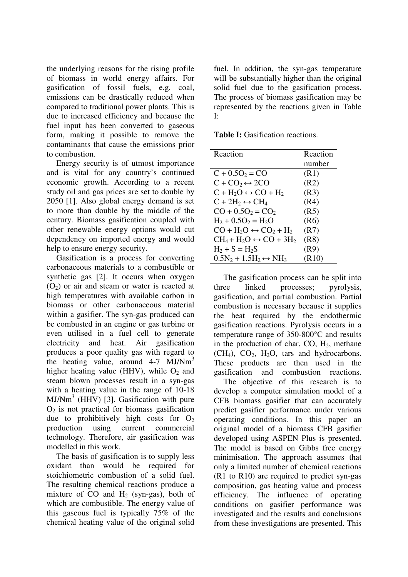the underlying reasons for the rising profile of biomass in world energy affairs. For gasification of fossil fuels, e.g. coal, emissions can be drastically reduced when compared to traditional power plants. This is due to increased efficiency and because the fuel input has been converted to gaseous form, making it possible to remove the contaminants that cause the emissions prior to combustion.

Energy security is of utmost importance and is vital for any country's continued economic growth. According to a recent study oil and gas prices are set to double by 2050 [1]. Also global energy demand is set to more than double by the middle of the century. Biomass gasification coupled with other renewable energy options would cut dependency on imported energy and would help to ensure energy security.

Gasification is a process for converting carbonaceous materials to a combustible or synthetic gas [2]. It occurs when oxygen  $(O<sub>2</sub>)$  or air and steam or water is reacted at high temperatures with available carbon in biomass or other carbonaceous material within a gasifier. The syn-gas produced can be combusted in an engine or gas turbine or even utilised in a fuel cell to generate electricity and heat. Air gasification produces a poor quality gas with regard to the heating value, around 4-7 MJ/Nm<sup>3</sup> higher heating value (HHV), while  $O_2$  and steam blown processes result in a syn-gas with a heating value in the range of 10-18  $MJ/Nm<sup>3</sup>$  (HHV) [3]. Gasification with pure  $O<sub>2</sub>$  is not practical for biomass gasification due to prohibitively high costs for  $O_2$ production using current commercial technology. Therefore, air gasification was modelled in this work.

The basis of gasification is to supply less oxidant than would be required for stoichiometric combustion of a solid fuel. The resulting chemical reactions produce a mixture of  $CO$  and  $H<sub>2</sub>$  (syn-gas), both of which are combustible. The energy value of this gaseous fuel is typically 75% of the chemical heating value of the original solid fuel. In addition, the syn-gas temperature will be substantially higher than the original solid fuel due to the gasification process. The process of biomass gasification may be represented by the reactions given in Table I:

**Table I:** Gasification reactions.

| Reaction                                | Reaction |
|-----------------------------------------|----------|
|                                         | number   |
| $C + 0.5O_2 = CO$                       | (R1)     |
| $C + CO_2 \leftrightarrow 2CO$          | (R2)     |
| $C + H_2O \leftrightarrow CO + H_2$     | (R3)     |
| $C + 2H_2 \leftrightarrow CH_4$         | (R4)     |
| $CO + 0.5O_2 = CO_2$                    | (R5)     |
| $H_2 + 0.5O_2 = H_2O$                   | (R6)     |
| $CO + H2O \leftrightarrow CO2 + H2$     | (R7)     |
| $CH_4 + H_2O \leftrightarrow CO + 3H_2$ | (R8)     |
| $H_2 + S = H_2S$                        | (R9)     |
| $0.5N_2 + 1.5H_2 \leftrightarrow NH_3$  | (R10)    |

The gasification process can be split into three linked processes; pyrolysis, gasification, and partial combustion. Partial combustion is necessary because it supplies the heat required by the endothermic gasification reactions. Pyrolysis occurs in a temperature range of 350-800°C and results in the production of char, CO,  $H_2$ , methane  $(CH<sub>4</sub>), CO<sub>2</sub>, H<sub>2</sub>O, tars and hydrocarbons.$ These products are then used in the gasification and combustion reactions.

 The objective of this research is to develop a computer simulation model of a CFB biomass gasifier that can accurately predict gasifier performance under various operating conditions. In this paper an original model of a biomass CFB gasifier developed using ASPEN Plus is presented. The model is based on Gibbs free energy minimisation. The approach assumes that only a limited number of chemical reactions (R1 to R10) are required to predict syn-gas composition, gas heating value and process efficiency. The influence of operating conditions on gasifier performance was investigated and the results and conclusions from these investigations are presented. This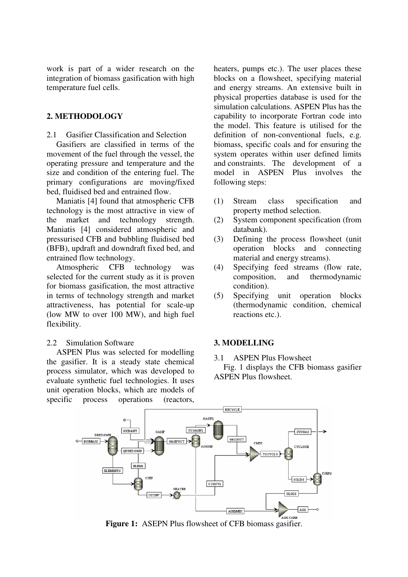work is part of a wider research on the integration of biomass gasification with high temperature fuel cells.

#### **2. METHODOLOGY**

2.1 Gasifier Classification and Selection

Gasifiers are classified in terms of the movement of the fuel through the vessel, the operating pressure and temperature and the size and condition of the entering fuel. The primary configurations are moving/fixed bed, fluidised bed and entrained flow.

Maniatis [4] found that atmospheric CFB technology is the most attractive in view of the market and technology strength. Maniatis [4] considered atmospheric and pressurised CFB and bubbling fluidised bed (BFB), updraft and downdraft fixed bed, and entrained flow technology.

Atmospheric CFB technology was selected for the current study as it is proven for biomass gasification, the most attractive in terms of technology strength and market attractiveness, has potential for scale-up (low MW to over 100 MW), and high fuel flexibility.

#### 2.2 Simulation Software

ASPEN Plus was selected for modelling the gasifier. It is a steady state chemical process simulator, which was developed to evaluate synthetic fuel technologies. It uses unit operation blocks, which are models of specific process operations (reactors,

heaters, pumps etc.). The user places these blocks on a flowsheet, specifying material and energy streams. An extensive built in physical properties database is used for the simulation calculations. ASPEN Plus has the capability to incorporate Fortran code into the model. This feature is utilised for the definition of non-conventional fuels, e.g. biomass, specific coals and for ensuring the system operates within user defined limits and constraints. The development of a model in ASPEN Plus involves the following steps:

- (1) Stream class specification and property method selection.
- (2) System component specification (from databank).
- (3) Defining the process flowsheet (unit operation blocks and connecting material and energy streams).
- (4) Specifying feed streams (flow rate, composition, and thermodynamic condition).
- (5) Specifying unit operation blocks (thermodynamic condition, chemical reactions etc.).

#### **3. MODELLING**

3.1 ASPEN Plus Flowsheet

Fig. 1 displays the CFB biomass gasifier ASPEN Plus flowsheet.



**Figure 1:** ASEPN Plus flowsheet of CFB biomass gasifier.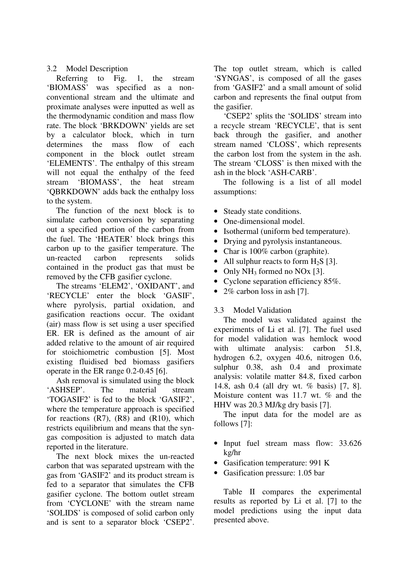#### 3.2 Model Description

Referring to Fig. 1, the stream 'BIOMASS' was specified as a nonconventional stream and the ultimate and proximate analyses were inputted as well as the thermodynamic condition and mass flow rate. The block 'BRKDOWN' yields are set by a calculator block, which in turn determines the mass flow of each component in the block outlet stream 'ELEMENTS'. The enthalpy of this stream will not equal the enthalpy of the feed stream 'BIOMASS', the heat stream 'QBRKDOWN' adds back the enthalpy loss to the system.

The function of the next block is to simulate carbon conversion by separating out a specified portion of the carbon from the fuel. The 'HEATER' block brings this carbon up to the gasifier temperature. The un-reacted carbon represents solids contained in the product gas that must be removed by the CFB gasifier cyclone.

The streams 'ELEM2', 'OXIDANT', and 'RECYCLE' enter the block 'GASIF', where pyrolysis, partial oxidation, and gasification reactions occur. The oxidant (air) mass flow is set using a user specified ER. ER is defined as the amount of air added relative to the amount of air required for stoichiometric combustion [5]. Most existing fluidised bed biomass gasifiers operate in the ER range 0.2-0.45 [6].

Ash removal is simulated using the block 'ASHSEP'. The material stream 'TOGASIF2' is fed to the block 'GASIF2', where the temperature approach is specified for reactions (R7), (R8) and (R10), which restricts equilibrium and means that the syngas composition is adjusted to match data reported in the literature.

The next block mixes the un-reacted carbon that was separated upstream with the gas from 'GASIF2' and its product stream is fed to a separator that simulates the CFB gasifier cyclone. The bottom outlet stream from 'CYCLONE' with the stream name 'SOLIDS' is composed of solid carbon only and is sent to a separator block 'CSEP2'. The top outlet stream, which is called 'SYNGAS', is composed of all the gases from 'GASIF2' and a small amount of solid carbon and represents the final output from the gasifier.

'CSEP2' splits the 'SOLIDS' stream into a recycle stream 'RECYCLE', that is sent back through the gasifier, and another stream named 'CLOSS', which represents the carbon lost from the system in the ash. The stream 'CLOSS' is then mixed with the ash in the block 'ASH-CARB'.

The following is a list of all model assumptions:

- Steady state conditions.
- One-dimensional model.
- Isothermal (uniform bed temperature).
- Drying and pyrolysis instantaneous.
- Char is 100% carbon (graphite).
- All sulphur reacts to form  $H_2S$  [3].
- Only  $NH_3$  formed no NOx [3].
- Cyclone separation efficiency 85%.
- 2% carbon loss in ash [7].

#### 3.3 Model Validation

The model was validated against the experiments of Li et al. [7]. The fuel used for model validation was hemlock wood with ultimate analysis: carbon 51.8, hydrogen 6.2, oxygen 40.6, nitrogen 0.6, sulphur 0.38, ash 0.4 and proximate analysis: volatile matter 84.8, fixed carbon 14.8, ash 0.4 (all dry wt. % basis) [7, 8]. Moisture content was 11.7 wt. % and the HHV was 20.3 MJ/kg dry basis [7].

The input data for the model are as follows [7]:

- Input fuel stream mass flow: 33.626 kg/hr
- Gasification temperature: 991 K
- Gasification pressure: 1.05 bar

Table II compares the experimental results as reported by Li et al. [7] to the model predictions using the input data presented above.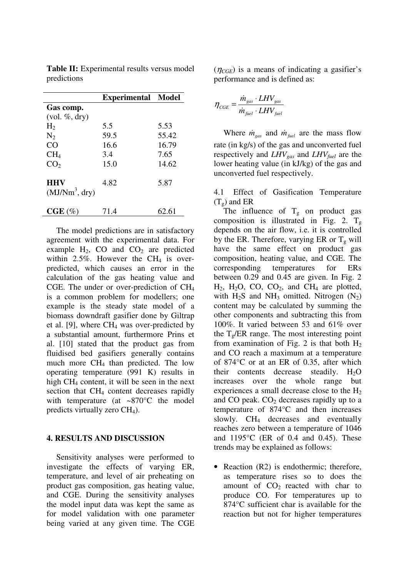|                                | <b>Experimental Model</b> |       |
|--------------------------------|---------------------------|-------|
| Gas comp.                      |                           |       |
| $(vol. \%, dry)$               |                           |       |
| H <sub>2</sub>                 | 5.5                       | 5.53  |
| N <sub>2</sub>                 | 59.5                      | 55.42 |
| CO                             | 16.6                      | 16.79 |
| CH <sub>4</sub>                | 3.4                       | 7.65  |
| CO <sub>2</sub>                | 15.0                      | 14.62 |
| <b>HHV</b><br>$(MJ/Nm^3, dry)$ | 4.82                      | 5.87  |
| $CGE(\%)$                      | 71.4                      | 62.61 |

**Table II:** Experimental results versus model predictions

The model predictions are in satisfactory agreement with the experimental data. For example  $H_2$ , CO and  $CO_2$  are predicted within 2.5%. However the  $CH<sub>4</sub>$  is overpredicted, which causes an error in the calculation of the gas heating value and CGE. The under or over-prediction of CH<sup>4</sup> is a common problem for modellers; one example is the steady state model of a biomass downdraft gasifier done by Giltrap et al.  $[9]$ , where CH<sub>4</sub> was over-predicted by a substantial amount, furthermore Prins et al. [10] stated that the product gas from fluidised bed gasifiers generally contains much more CH4 than predicted. The low operating temperature (991 K) results in high CH4 content, it will be seen in the next section that CH<sub>4</sub> content decreases rapidly with temperature (at ~870°C the model predicts virtually zero CH4).

#### **4. RESULTS AND DISCUSSION**

Sensitivity analyses were performed to investigate the effects of varying ER, temperature, and level of air preheating on product gas composition, gas heating value, and CGE. During the sensitivity analyses the model input data was kept the same as for model validation with one parameter being varied at any given time. The CGE  $(\eta_{CGE})$  is a means of indicating a gasifier's performance and is defined as:

$$
\eta_{CGE} = \frac{\dot{m}_{gas} \cdot LHV_{gas}}{\dot{m}_{fuel} \cdot LHV_{fuel}}
$$

Where  $\dot{m}_{gas}$  and  $\dot{m}_{fuel}$  are the mass flow rate (in kg/s) of the gas and unconverted fuel respectively and *LHVgas* and *LHVfuel* are the lower heating value (in kJ/kg) of the gas and unconverted fuel respectively.

4.1 Effect of Gasification Temperature  $(T_{\rm g})$  and ER

The influence of  $T_g$  on product gas composition is illustrated in Fig. 2.  $T_g$ depends on the air flow, i.e. it is controlled by the ER. Therefore, varying ER or  $T_g$  will have the same effect on product gas composition, heating value, and CGE. The corresponding temperatures for ERs between 0.29 and 0.45 are given. In Fig. 2  $H_2$ ,  $H_2O$ ,  $CO$ ,  $CO_2$ , and  $CH_4$  are plotted, with  $H_2S$  and  $NH_3$  omitted. Nitrogen  $(N_2)$ content may be calculated by summing the other components and subtracting this from 100%. It varied between 53 and 61% over the  $T_{\text{o}}/ER$  range. The most interesting point from examination of Fig. 2 is that both  $H_2$ and CO reach a maximum at a temperature of 874°C or at an ER of 0.35, after which their contents decrease steadily.  $H_2O$ increases over the whole range but experiences a small decrease close to the  $H_2$ and CO peak.  $CO<sub>2</sub>$  decreases rapidly up to a temperature of 874°C and then increases slowly. CH<sub>4</sub> decreases and eventually reaches zero between a temperature of 1046 and 1195°C (ER of 0.4 and 0.45). These trends may be explained as follows:

• Reaction (R2) is endothermic; therefore, as temperature rises so to does the amount of  $CO<sub>2</sub>$  reacted with char to produce CO. For temperatures up to 874°C sufficient char is available for the reaction but not for higher temperatures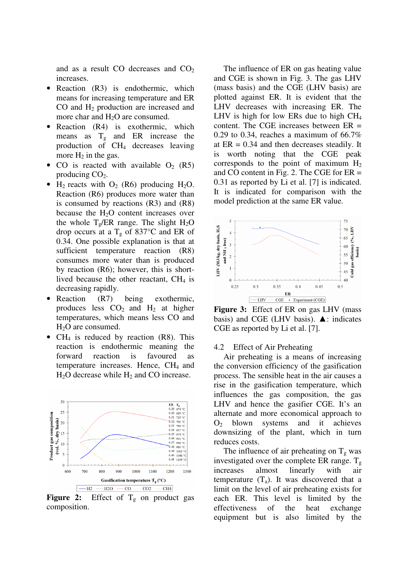and as a result CO decreases and  $CO<sub>2</sub>$ increases.

- Reaction (R3) is endothermic, which means for increasing temperature and ER CO and H2 production are increased and more char and  $H<sub>2</sub>O$  are consumed.
- Reaction (R4) is exothermic, which means as  $T_g$  and ER increase the production of CH4 decreases leaving more  $H_2$  in the gas.
- CO is reacted with available  $O_2$  (R5) producing  $CO<sub>2</sub>$ .
- $H_2$  reacts with  $O_2$  (R6) producing  $H_2O$ . Reaction (R6) produces more water than is consumed by reactions (R3) and (R8) because the  $H<sub>2</sub>O$  content increases over the whole  $T_e/ER$  range. The slight  $H_2O$ drop occurs at a  $T_g$  of 837°C and ER of 0.34. One possible explanation is that at sufficient temperature reaction (R8) consumes more water than is produced by reaction (R6); however, this is shortlived because the other reactant,  $CH<sub>4</sub>$  is decreasing rapidly.
- Reaction (R7) being exothermic, produces less  $CO<sub>2</sub>$  and  $H<sub>2</sub>$  at higher temperatures, which means less CO and H<sub>2</sub>O are consumed.
- CH<sub>4</sub> is reduced by reaction  $(R8)$ . This reaction is endothermic meaning the forward reaction is favoured as temperature increases. Hence,  $CH<sub>4</sub>$  and  $H<sub>2</sub>O$  decrease while  $H<sub>2</sub>$  and CO increase.



**Figure 2:** Effect of  $T_g$  on product gas composition.

The influence of ER on gas heating value and CGE is shown in Fig. 3. The gas LHV (mass basis) and the CGE (LHV basis) are plotted against ER. It is evident that the LHV decreases with increasing ER. The LHV is high for low ERs due to high  $CH<sub>4</sub>$ content. The CGE increases between  $ER =$ 0.29 to 0.34, reaches a maximum of  $66.7\%$ at  $ER = 0.34$  and then decreases steadily. It is worth noting that the CGE peak corresponds to the point of maximum  $H_2$ and CO content in Fig. 2. The CGE for ER = 0.31 as reported by Li et al. [7] is indicated. It is indicated for comparison with the model prediction at the same ER value.



**Figure 3:** Effect of ER on gas LHV (mass basis) and CGE (LHV basis).  $\blacktriangle$ : indicates CGE as reported by Li et al. [7].

#### 4.2 Effect of Air Preheating

Air preheating is a means of increasing the conversion efficiency of the gasification process. The sensible heat in the air causes a rise in the gasification temperature, which influences the gas composition, the gas LHV and hence the gasifier CGE. It's an alternate and more economical approach to  $O<sub>2</sub>$  blown systems and it achieves downsizing of the plant, which in turn reduces costs.

The influence of air preheating on  $T_g$  was investigated over the complete ER range.  $T_g$ increases almost linearly with air temperature  $(T_a)$ . It was discovered that a limit on the level of air preheating exists for each ER. This level is limited by the effectiveness of the heat exchange equipment but is also limited by the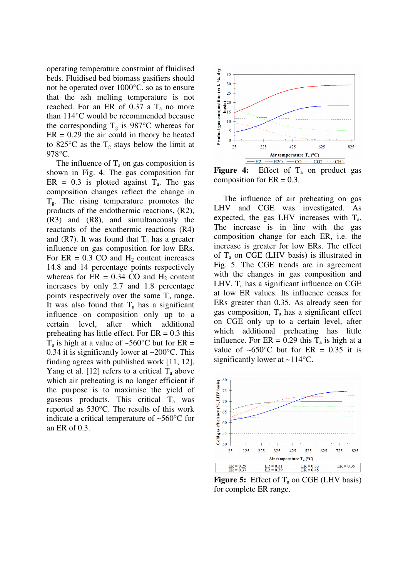operating temperature constraint of fluidised beds. Fluidised bed biomass gasifiers should not be operated over 1000°C, so as to ensure that the ash melting temperature is not reached. For an ER of 0.37 a  $T_a$  no more than 114°C would be recommended because the corresponding  $T_g$  is 987°C whereas for  $ER = 0.29$  the air could in theory be heated to 825 $\rm ^{\circ}C$  as the T<sub>g</sub> stays below the limit at 978°C.

The influence of  $T_a$  on gas composition is shown in Fig. 4. The gas composition for ER =  $0.3$  is plotted against T<sub>a</sub>. The gas composition changes reflect the change in  $T_{\rm g}$ . The rising temperature promotes the products of the endothermic reactions, (R2), (R3) and (R8), and simultaneously the reactants of the exothermic reactions (R4) and (R7). It was found that  $T_a$  has a greater influence on gas composition for low ERs. For  $ER = 0.3 CO$  and  $H<sub>2</sub>$  content increases 14.8 and 14 percentage points respectively whereas for  $ER = 0.34$  CO and  $H_2$  content increases by only 2.7 and 1.8 percentage points respectively over the same  $T_a$  range. It was also found that  $T_a$  has a significant influence on composition only up to a certain level, after which additional preheating has little effect. For  $ER = 0.3$  this  $T_a$  is high at a value of ~560°C but for ER = 0.34 it is significantly lower at  $\sim$ 200 $\degree$ C. This finding agrees with published work [11, 12]. Yang et al. [12] refers to a critical  $T_a$  above which air preheating is no longer efficient if the purpose is to maximise the yield of gaseous products. This critical Ta was reported as 530°C. The results of this work indicate a critical temperature of ~560°C for an ER of 0.3.



**Figure 4:** Effect of  $T_a$  on product gas composition for  $ER = 0.3$ .

The influence of air preheating on gas LHV and CGE was investigated. As expected, the gas LHV increases with  $T_a$ . The increase is in line with the gas composition change for each ER, i.e. the increase is greater for low ERs. The effect of  $T_a$  on CGE (LHV basis) is illustrated in Fig. 5. The CGE trends are in agreement with the changes in gas composition and LHV.  $T_a$  has a significant influence on CGE at low ER values. Its influence ceases for ERs greater than 0.35. As already seen for gas composition,  $T_a$  has a significant effect on CGE only up to a certain level, after which additional preheating has little influence. For  $ER = 0.29$  this  $T_a$  is high at a value of  $\sim 650^{\circ}$ C but for ER = 0.35 it is significantly lower at ~114°C.



**Figure 5:** Effect of  $T_a$  on CGE (LHV basis) for complete ER range.